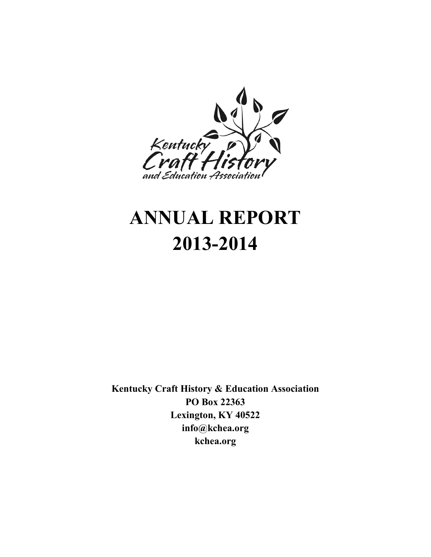

# **ANNUAL REPORT 2013-2014**

**Kentucky Craft History & Education Association PO Box 22363 Lexington, KY 40522 info@kchea.org kchea.org**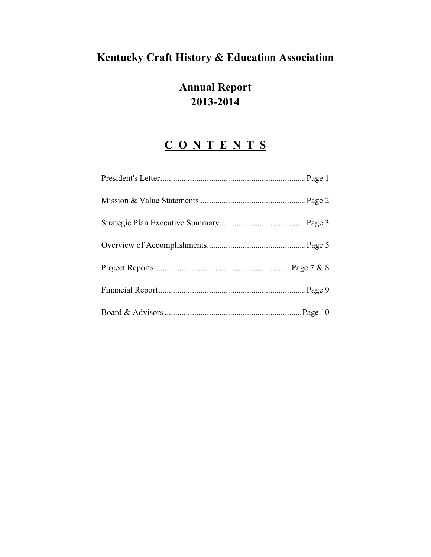# **Kentucky Craft History & Education Association**

# **Annual Report 2013-2014**

# **C O N T E N T S**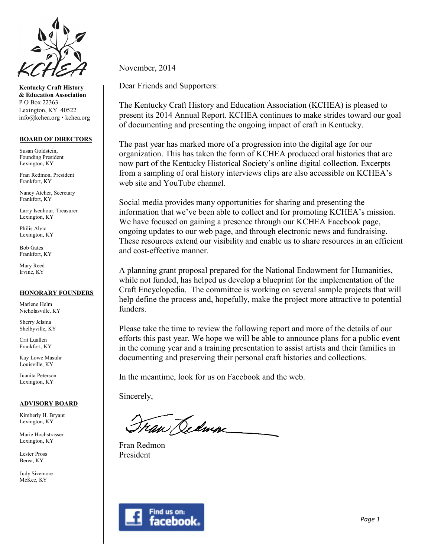

**Kentucky Craft History & Education Association** P O Box 22363 Lexington, KY 40522 info@kchea.org kchea.org

#### **BOARD OF DIRECTORS**

Susan Goldstein, Founding President Lexington, KY

Fran Redmon, President Frankfort, KY

Nancy Atcher, Secretary Frankfort, KY

Larry Isenhour, Treasurer Lexington, KY

Philis Alvic Lexington, KY

Bob Gates Frankfort, KY

Mary Reed Irvine, KY

#### **HONORARY FOUNDERS**

Marlene Helm Nicholasville, KY

Sherry Jelsma Shelbyville, KY

Crit Luallen Frankfort, KY

Kay Lowe Masuhr Louisville, KY

Juanita Peterson Lexington, KY

#### **ADVISORY BOARD**

Kimberly H. Bryant Lexington, KY

Marie Hochstrasser Lexington, KY

Lester Pross Berea, KY

Judy Sizemore McKee, KY

November, 2014

Dear Friends and Supporters:

The Kentucky Craft History and Education Association (KCHEA) is pleased to present its 2014 Annual Report. KCHEA continues to make strides toward our goal of documenting and presenting the ongoing impact of craft in Kentucky.

The past year has marked more of a progression into the digital age for our organization. This has taken the form of KCHEA produced oral histories that are now part of the Kentucky Historical Society's online digital collection. Excerpts from a sampling of oral history interviews clips are also accessible on KCHEA's web site and YouTube channel.

Social media provides many opportunities for sharing and presenting the information that we've been able to collect and for promoting KCHEA's mission. We have focused on gaining a presence through our KCHEA Facebook page, ongoing updates to our web page, and through electronic news and fundraising. These resources extend our visibility and enable us to share resources in an efficient and cost-effective manner.

A planning grant proposal prepared for the National Endowment for Humanities, while not funded, has helped us develop a blueprint for the implementation of the Craft Encyclopedia. The committee is working on several sample projects that will help define the process and, hopefully, make the project more attractive to potential funders.

Please take the time to review the following report and more of the details of our efforts this past year. We hope we will be able to announce plans for a public event in the coming year and a training presentation to assist artists and their families in documenting and preserving their personal craft histories and collections.

In the meantime, look for us on Facebook and the web.

Sincerely,

ran Dedma

Fran Redmon President

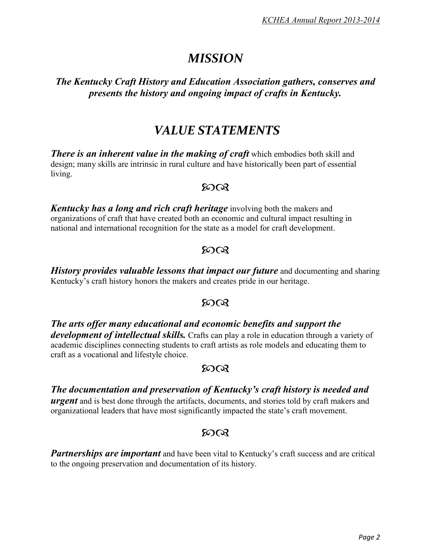# *MISSION*

# *The Kentucky Craft History and Education Association gathers, conserves and presents the history and ongoing impact of crafts in Kentucky.*

# *VALUE STATEMENTS*

*There is an inherent value in the making of craft* **which embodies both skill and** design; many skills are intrinsic in rural culture and have historically been part of essential living.

### ഩൟ

*Kentucky has a long and rich craft heritage* involving both the makers and organizations of craft that have created both an economic and cultural impact resulting in national and international recognition for the state as a model for craft development.

# $50Q$

*History provides valuable lessons that impact our future* and documenting and sharing Kentucky's craft history honors the makers and creates pride in our heritage.

# $500x$

*The arts offer many educational and economic benefits and support the development of intellectual skills.* Crafts can play a role in education through a variety of academic disciplines connecting students to craft artists as role models and educating them to craft as a vocational and lifestyle choice.

# $50<sup>o</sup>$

# *The documentation and preservation of Kentucky's craft history is needed and*

*urgent* and is best done through the artifacts, documents, and stories told by craft makers and organizational leaders that have most significantly impacted the state's craft movement.

# $500x$

**Partnerships are important** and have been vital to Kentucky's craft success and are critical to the ongoing preservation and documentation of its history.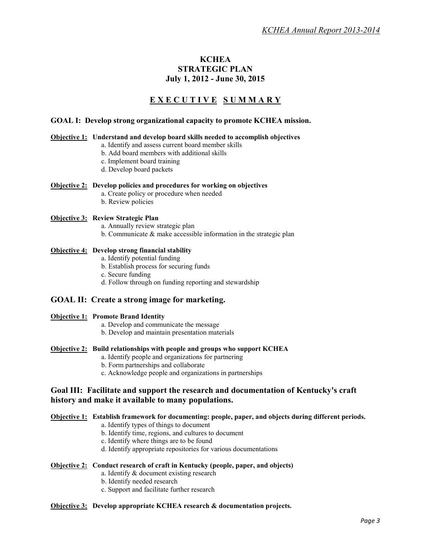#### **KCHEA STRATEGIC PLAN July 1, 2012 - June 30, 2015**

### **E X E C U T I V E S U M M A R Y**

#### **GOAL I: Develop strong organizational capacity to promote KCHEA mission.**

#### **Objective 1: Understand and develop board skills needed to accomplish objectives**

- a. Identify and assess current board member skills
	- b. Add board members with additional skills
	- c. Implement board training
	- d. Develop board packets

#### **Objective 2: Develop policies and procedures for working on objectives**

- a. Create policy or procedure when needed
- b. Review policies

#### **Objective 3: Review Strategic Plan**

- a. Annually review strategic plan
- b. Communicate & make accessible information in the strategic plan

#### **Objective 4: Develop strong financial stability**

- a. Identify potential funding
- b. Establish process for securing funds
- c. Secure funding
- d. Follow through on funding reporting and stewardship

#### **GOAL II: Create a strong image for marketing.**

#### **Objective 1: Promote Brand Identity**

- a. Develop and communicate the message
- b. Develop and maintain presentation materials

#### **Objective 2: Build relationships with people and groups who support KCHEA**

- a. Identify people and organizations for partnering
- b. Form partnerships and collaborate
- c. Acknowledge people and organizations in partnerships

#### **Goal III: Facilitate and support the research and documentation of Kentucky's craft history and make it available to many populations.**

#### **Objective 1: Establish framework for documenting: people, paper, and objects during different periods.**

- a. Identify types of things to document
- b. Identify time, regions, and cultures to document
- c. Identify where things are to be found
- d. Identify appropriate repositories for various documentations

#### **Objective 2: Conduct research of craft in Kentucky (people, paper, and objects)**

- a. Identify & document existing research
- b. Identify needed research
- c. Support and facilitate further research

#### **Objective 3: Develop appropriate KCHEA research & documentation projects.**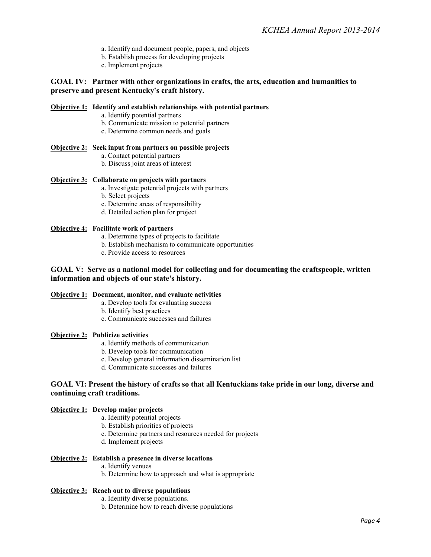- a. Identify and document people, papers, and objects
- b. Establish process for developing projects
- c. Implement projects

#### **GOAL IV: Partner with other organizations in crafts, the arts, education and humanities to preserve and present Kentucky's craft history.**

#### **Objective 1: Identify and establish relationships with potential partners**

- a. Identify potential partners
- b. Communicate mission to potential partners
- c. Determine common needs and goals

#### **Objective 2: Seek input from partners on possible projects**

- a. Contact potential partners
- b. Discuss joint areas of interest

#### **Objective 3: Collaborate on projects with partners**

- a. Investigate potential projects with partners
- b. Select projects
- c. Determine areas of responsibility
- d. Detailed action plan for project

#### **Objective 4: Facilitate work of partners**

- a. Determine types of projects to facilitate
- b. Establish mechanism to communicate opportunities
- c. Provide access to resources

#### **GOAL V: Serve as a national model for collecting and for documenting the craftspeople, written information and objects of our state's history.**

#### **Objective 1: Document, monitor, and evaluate activities**

- a. Develop tools for evaluating success
- b. Identify best practices
- c. Communicate successes and failures

#### **Objective 2: Publicize activities**

- a. Identify methods of communication
- b. Develop tools for communication
- c. Develop general information dissemination list
- d. Communicate successes and failures

#### **GOAL VI: Present the history of crafts so that all Kentuckians take pride in our long, diverse and continuing craft traditions.**

#### **Objective 1: Develop major projects**

- a. Identify potential projects
- b. Establish priorities of projects
- c. Determine partners and resources needed for projects
- d. Implement projects

#### **Objective 2: Establish a presence in diverse locations**

- a. Identify venues
- b. Determine how to approach and what is appropriate

#### **Objective 3: Reach out to diverse populations**

- a. Identify diverse populations.
- b. Determine how to reach diverse populations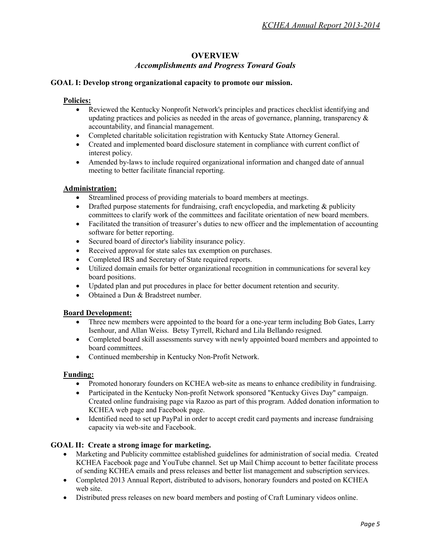#### **OVERVIEW** *Accomplishments and Progress Toward Goals*

#### **GOAL I: Develop strong organizational capacity to promote our mission.**

#### **Policies:**

- Reviewed the Kentucky Nonprofit Network's principles and practices checklist identifying and updating practices and policies as needed in the areas of governance, planning, transparency  $\&$ accountability, and financial management.
- Completed charitable solicitation registration with Kentucky State Attorney General.
- Created and implemented board disclosure statement in compliance with current conflict of interest policy.
- Amended by-laws to include required organizational information and changed date of annual meeting to better facilitate financial reporting.

#### **Administration:**

- Streamlined process of providing materials to board members at meetings.
- Drafted purpose statements for fundraising, craft encyclopedia, and marketing & publicity committees to clarify work of the committees and facilitate orientation of new board members.
- Facilitated the transition of treasurer's duties to new officer and the implementation of accounting software for better reporting.
- Secured board of director's liability insurance policy.
- Received approval for state sales tax exemption on purchases.
- Completed IRS and Secretary of State required reports.
- Utilized domain emails for better organizational recognition in communications for several key board positions.
- Updated plan and put procedures in place for better document retention and security.
- Obtained a Dun & Bradstreet number.

#### **Board Development:**

- Three new members were appointed to the board for a one-year term including Bob Gates, Larry Isenhour, and Allan Weiss. Betsy Tyrrell, Richard and Lila Bellando resigned.
- Completed board skill assessments survey with newly appointed board members and appointed to board committees.
- Continued membership in Kentucky Non-Profit Network.

#### **Funding:**

- Promoted honorary founders on KCHEA web-site as means to enhance credibility in fundraising.
- Participated in the Kentucky Non-profit Network sponsored "Kentucky Gives Day" campaign. Created online fundraising page via Razoo as part of this program. Added donation information to KCHEA web page and Facebook page.
- Identified need to set up PayPal in order to accept credit card payments and increase fundraising capacity via web-site and Facebook.

#### **GOAL II: Create a strong image for marketing.**

- Marketing and Publicity committee established guidelines for administration of social media. Created KCHEA Facebook page and YouTube channel. Set up Mail Chimp account to better facilitate process of sending KCHEA emails and press releases and better list management and subscription services.
- Completed 2013 Annual Report, distributed to advisors, honorary founders and posted on KCHEA web site.
- Distributed press releases on new board members and posting of Craft Luminary videos online.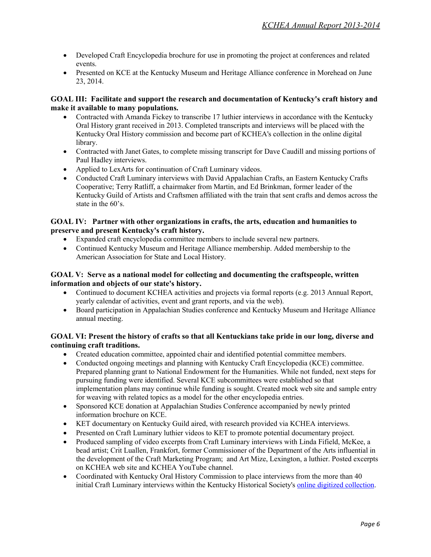- Developed Craft Encyclopedia brochure for use in promoting the project at conferences and related events.
- Presented on KCE at the Kentucky Museum and Heritage Alliance conference in Morehead on June 23, 2014.

#### **GOAL III: Facilitate and support the research and documentation of Kentucky's craft history and make it available to many populations.**

- Contracted with Amanda Fickey to transcribe 17 luthier interviews in accordance with the Kentucky Oral History grant received in 2013. Completed transcripts and interviews will be placed with the Kentucky Oral History commission and become part of KCHEA's collection in the online digital library.
- Contracted with Janet Gates, to complete missing transcript for Dave Caudill and missing portions of Paul Hadley interviews.
- Applied to LexArts for continuation of Craft Luminary videos.
- Conducted Craft Luminary interviews with David Appalachian Crafts, an Eastern Kentucky Crafts Cooperative; Terry Ratliff, a chairmaker from Martin, and Ed Brinkman, former leader of the Kentucky Guild of Artists and Craftsmen affiliated with the train that sent crafts and demos across the state in the 60's.

#### **GOAL IV: Partner with other organizations in crafts, the arts, education and humanities to preserve and present Kentucky's craft history.**

- Expanded craft encyclopedia committee members to include several new partners.
- Continued Kentucky Museum and Heritage Alliance membership. Added membership to the American Association for State and Local History.

#### **GOAL V: Serve as a national model for collecting and documenting the craftspeople, written information and objects of our state's history.**

- Continued to document KCHEA activities and projects via formal reports (e.g. 2013 Annual Report, yearly calendar of activities, event and grant reports, and via the web).
- Board participation in Appalachian Studies conference and Kentucky Museum and Heritage Alliance annual meeting.

#### **GOAL VI: Present the history of crafts so that all Kentuckians take pride in our long, diverse and continuing craft traditions.**

- Created education committee, appointed chair and identified potential committee members.
- Conducted ongoing meetings and planning with Kentucky Craft Encyclopedia (KCE) committee. Prepared planning grant to National Endowment for the Humanities. While not funded, next steps for pursuing funding were identified. Several KCE subcommittees were established so that implementation plans may continue while funding is sought. Created mock web site and sample entry for weaving with related topics as a model for the other encyclopedia entries.
- Sponsored KCE donation at Appalachian Studies Conference accompanied by newly printed information brochure on KCE.
- KET documentary on Kentucky Guild aired, with research provided via KCHEA interviews.
- Presented on Craft Luminary luthier videos to KET to promote potential documentary project.
- Produced sampling of video excerpts from Craft Luminary interviews with Linda Fifield, McKee, a bead artist; Crit Luallen, Frankfort, former Commissioner of the Department of the Arts influential in the development of the Craft Marketing Program; and Art Mize, Lexington, a luthier. Posted excerpts on KCHEA web site and KCHEA YouTube channel.
- Coordinated with Kentucky Oral History Commission to place interviews from the more than 40 initial Craft Luminary interviews within the Kentucky Historical Society's [online digitized collection.](http://kyhistory.com/cdm/ref/collection/Ohist/id/2553)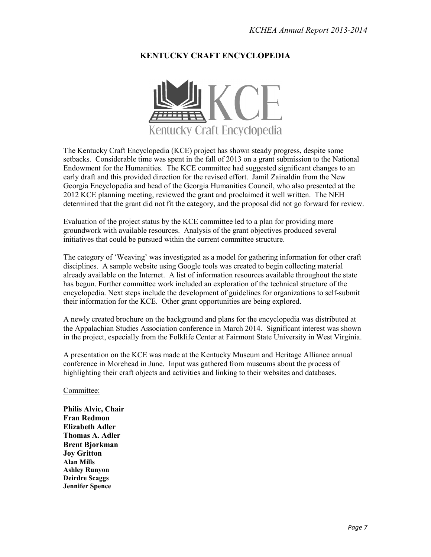### **KENTUCKY CRAFT ENCYCLOPEDIA**



The Kentucky Craft Encyclopedia (KCE) project has shown steady progress, despite some setbacks. Considerable time was spent in the fall of 2013 on a grant submission to the National Endowment for the Humanities. The KCE committee had suggested significant changes to an early draft and this provided direction for the revised effort. Jamil Zainaldin from the New Georgia Encyclopedia and head of the Georgia Humanities Council, who also presented at the 2012 KCE planning meeting, reviewed the grant and proclaimed it well written. The NEH determined that the grant did not fit the category, and the proposal did not go forward for review.

Evaluation of the project status by the KCE committee led to a plan for providing more groundwork with available resources. Analysis of the grant objectives produced several initiatives that could be pursued within the current committee structure.

The category of 'Weaving' was investigated as a model for gathering information for other craft disciplines. A sample website using Google tools was created to begin collecting material already available on the Internet. A list of information resources available throughout the state has begun. Further committee work included an exploration of the technical structure of the encyclopedia. Next steps include the development of guidelines for organizations to self-submit their information for the KCE. Other grant opportunities are being explored.

A newly created brochure on the background and plans for the encyclopedia was distributed at the Appalachian Studies Association conference in March 2014. Significant interest was shown in the project, especially from the Folklife Center at Fairmont State University in West Virginia.

A presentation on the KCE was made at the Kentucky Museum and Heritage Alliance annual conference in Morehead in June. Input was gathered from museums about the process of highlighting their craft objects and activities and linking to their websites and databases.

Committee:

**Philis Alvic, Chair Fran Redmon Elizabeth Adler Thomas A. Adler Brent Bjorkman Joy Gritton Alan Mills Ashley Runyon Deirdre Scaggs Jennifer Spence**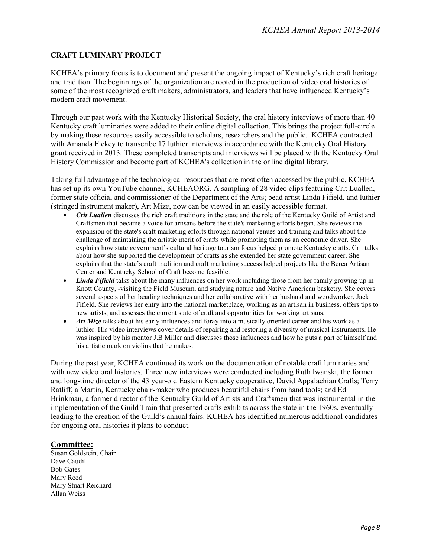#### **CRAFT LUMINARY PROJECT**

KCHEA's primary focus is to document and present the ongoing impact of Kentucky's rich craft heritage and tradition. The beginnings of the organization are rooted in the production of video oral histories of some of the most recognized craft makers, administrators, and leaders that have influenced Kentucky's modern craft movement.

Through our past work with the Kentucky Historical Society, the oral history interviews of more than 40 Kentucky craft luminaries were added to their online digital collection. This brings the project full-circle by making these resources easily accessible to scholars, researchers and the public. KCHEA contracted with Amanda Fickey to transcribe 17 luthier interviews in accordance with the Kentucky Oral History grant received in 2013. These completed transcripts and interviews will be placed with the Kentucky Oral History Commission and become part of KCHEA's collection in the online digital library.

Taking full advantage of the technological resources that are most often accessed by the public, KCHEA has set up its own YouTube channel, KCHEAORG. A sampling of 28 video clips featuring Crit Luallen, former state official and commissioner of the Department of the Arts; bead artist Linda Fifield, and luthier (stringed instrument maker), Art Mize, now can be viewed in an easily accessible format.

- *Crit Luallen* discusses the rich craft traditions in the state and the role of the Kentucky Guild of Artist and Craftsmen that became a voice for artisans before the state's marketing efforts began. She reviews the expansion of the state's craft marketing efforts through national venues and training and talks about the challenge of maintaining the artistic merit of crafts while promoting them as an economic driver. She explains how state government's cultural heritage tourism focus helped promote Kentucky crafts. Crit talks about how she supported the development of crafts as she extended her state government career. She explains that the state's craft tradition and craft marketing success helped projects like the Berea Artisan Center and Kentucky School of Craft become feasible.
- *Linda Fifield* talks about the many influences on her work including those from her family growing up in Knott County, -visiting the Field Museum, and studying nature and Native American basketry. She covers several aspects of her beading techniques and her collaborative with her husband and woodworker, Jack Fifield. She reviews her entry into the national marketplace, working as an artisan in business, offers tips to new artists, and assesses the current state of craft and opportunities for working artisans.
- *Art Mize* talks about his early influences and foray into a musically oriented career and his work as a luthier. His video interviews cover details of repairing and restoring a diversity of musical instruments. He was inspired by his mentor J.B Miller and discusses those influences and how he puts a part of himself and his artistic mark on violins that he makes.

During the past year, KCHEA continued its work on the documentation of notable craft luminaries and with new video oral histories. Three new interviews were conducted including Ruth Iwanski, the former and long-time director of the 43 year-old Eastern Kentucky cooperative, David Appalachian Crafts; Terry Ratliff, a Martin, Kentucky chair-maker who produces beautiful chairs from hand tools; and Ed Brinkman, a former director of the Kentucky Guild of Artists and Craftsmen that was instrumental in the implementation of the Guild Train that presented crafts exhibits across the state in the 1960s, eventually leading to the creation of the Guild's annual fairs. KCHEA has identified numerous additional candidates for ongoing oral histories it plans to conduct.

#### **Committee:**

Susan Goldstein, Chair Dave Caudill Bob Gates Mary Reed Mary Stuart Reichard Allan Weiss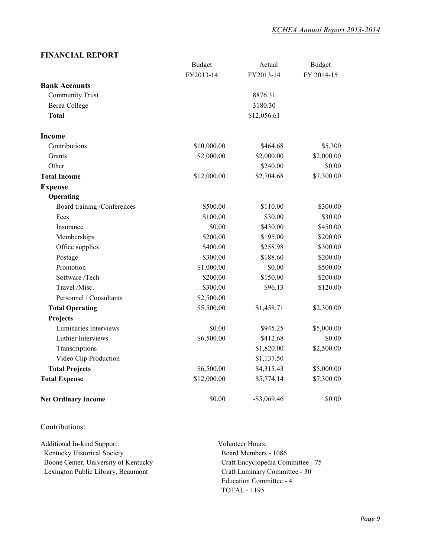#### **FINANCIAL REPORT**

|                             | <b>Budget</b> | Actual         | <b>Budget</b> |
|-----------------------------|---------------|----------------|---------------|
|                             | FY2013-14     | FY2013-14      | FY 2014-15    |
| <b>Bank Accounts</b>        |               |                |               |
| Community Trust             | 8876.31       |                |               |
| Berea College               | 3180.30       |                |               |
| <b>Total</b>                | \$12,056.61   |                |               |
| <b>Income</b>               |               |                |               |
| Contributions               | \$10,000.00   | \$464.68       | \$5,300       |
| Grants                      | \$2,000.00    | \$2,000.00     | \$2,000.00    |
| Other                       |               | \$240.00       | \$0.00        |
| <b>Total Income</b>         | \$12,000.00   | \$2,704.68     | \$7,300.00    |
| <b>Expense</b>              |               |                |               |
| Operating                   |               |                |               |
| Board training /Conferences | \$500.00      | \$110.00       | \$300.00      |
| Fees                        | \$100.00      | \$30.00        | \$30.00       |
| Insurance                   | \$0.00        | \$430.00       | \$450.00      |
| Memberships                 | \$200.00      | \$195.00       | \$200.00      |
| Office supplies             | \$400.00      | \$258.98       | \$300.00      |
| Postage                     | \$300.00      | \$188.60       | \$200.00      |
| Promotion                   | \$1,000.00    | \$0.00         | \$500.00      |
| Software /Tech              | \$200.00      | \$150.00       | \$200.00      |
| Travel /Misc.               | \$300.00      | \$96.13        | \$120.00      |
| Personnel / Consultants     | \$2,500.00    |                |               |
| <b>Total Operating</b>      | \$5,500.00    | \$1,458.71     | \$2,300.00    |
| Projects                    |               |                |               |
| Luminaries Interviews       | \$0.00        | \$945.25       | \$5,000.00    |
| Luthier Interviews          | \$6,500.00    | \$412.68       | \$0.00        |
| Transcriptions              |               | \$1,820.00     | \$2,500.00    |
| Video Clip Production       |               | \$1,137.50     |               |
| <b>Total Projects</b>       | \$6,500.00    | \$4,315.43     | \$5,000.00    |
| <b>Total Expense</b>        | \$12,000.00   | \$5,774.14     | \$7,300.00    |
| <b>Net Ordinary Income</b>  | \$0.00        | $-$ \$3,069.46 | \$0.00        |

#### Contributions:

 Kentucky Historical Society Additional In-kind Support: Boone Center, University of Kentucky Lexington Public Library, Beaumont

 Board Members - 1086 Volunteer Hours: Craft Encyclopedia Committee - 75 Craft Luminary Committee - 30 Education Committee - 4 TOTAL - 1195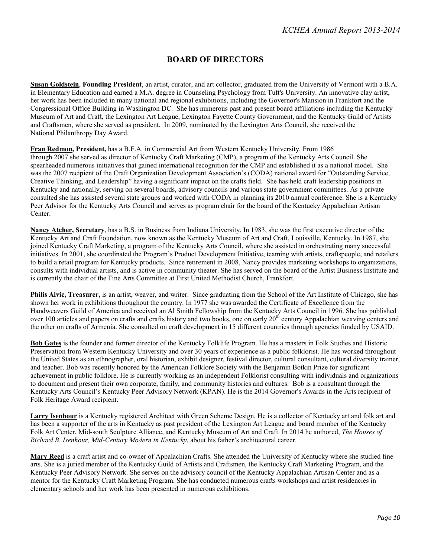### **BOARD OF DIRECTORS**

**Susan Goldstein**, **Founding President**, an artist, curator, and art collector, graduated from the University of Vermont with a B.A. in Elementary Education and earned a M.A. degree in Counseling Psychology from Tuft's University. An innovative clay artist, her work has been included in many national and regional exhibitions, including the Governor's Mansion in Frankfort and the Congressional Office Building in Washington DC. She has numerous past and present board affiliations including the Kentucky Museum of Art and Craft, the Lexington Art League, Lexington Fayette County Government, and the Kentucky Guild of Artists and Craftsmen, where she served as president. In 2009, nominated by the Lexington Arts Council, she received the National Philanthropy Day Award.

**Fran Redmon, President,** has a B.F.A. in Commercial Art from Western Kentucky University. From 1986 through 2007 she served as director of Kentucky Craft Marketing (CMP), a program of the Kentucky Arts Council. She spearheaded numerous initiatives that gained international recognition for the CMP and established it as a national model. She was the 2007 recipient of the Craft Organization Development Association's (CODA) national award for "Outstanding Service, Creative Thinking, and Leadership" having a significant impact on the crafts field. She has held craft leadership positions in Kentucky and nationally, serving on several boards, advisory councils and various state government committees. As a private consulted she has assisted several state groups and worked with CODA in planning its 2010 annual conference. She is a Kentucky Peer Advisor for the Kentucky Arts Council and serves as program chair for the board of the Kentucky Appalachian Artisan Center.

**Nancy Atcher, Secretary**, has a B.S. in Business from Indiana University. In 1983, she was the first executive director of the Kentucky Art and Craft Foundation, now known as the Kentucky Museum of Art and Craft, Louisville, Kentucky. In 1987, she joined Kentucky Craft Marketing, a program of the Kentucky Arts Council, where she assisted in orchestrating many successful initiatives. In 2001, she coordinated the Program's Product Development Initiative, teaming with artists, craftspeople, and retailers to build a retail program for Kentucky products. Since retirement in 2008, Nancy provides marketing workshops to organizations, consults with individual artists, and is active in community theater. She has served on the board of the Artist Business Institute and is currently the chair of the Fine Arts Committee at First United Methodist Church, Frankfort.

**Philis Alvic, Treasurer,** is an artist, weaver, and writer. Since graduating from the School of the Art Institute of Chicago, she has shown her work in exhibitions throughout the country. In 1977 she was awarded the Certificate of Excellence from the Handweavers Guild of America and received an Al Smith Fellowship from the Kentucky Arts Council in 1996. She has published over 100 articles and papers on crafts and crafts history and two books, one on early 20<sup>th</sup> century Appalachian weaving centers and the other on crafts of Armenia. She consulted on craft development in 15 different countries through agencies funded by USAID.

**Bob Gates** is the founder and former director of the Kentucky Folklife Program. He has a masters in Folk Studies and Historic Preservation from Western Kentucky University and over 30 years of experience as a public folklorist. He has worked throughout the United States as an ethnographer, oral historian, exhibit designer, festival director, cultural consultant, cultural diversity trainer, and teacher. Bob was recently honored by the American Folklore Society with the Benjamin Botkin Prize for significant achievement in public folklore. He is currently working as an independent Folklorist consulting with individuals and organizations to document and present their own corporate, family, and community histories and cultures. Bob is a consultant through the Kentucky Arts Council's Kentucky Peer Advisory Network (KPAN). He is the 2014 Governor's Awards in the Arts recipient of Folk Heritage Award recipient.

**Larry Isenhour** is a Kentucky registered Architect with Green Scheme Design. He is a collector of Kentucky art and folk art and has been a supporter of the arts in Kentucky as past president of the Lexington Art League and board member of the Kentucky Folk Art Center, Mid-south Sculpture Alliance, and Kentucky Museum of Art and Craft. In 2014 he authored, *The Houses of Richard B. Isenhour, Mid-Century Modern in Kentucky*, about his father's architectural career.

**Mary Reed** is a craft artist and co-owner of Appalachian Crafts. She attended the University of Kentucky where she studied fine arts. She is a juried member of the Kentucky Guild of Artists and Craftsmen, the Kentucky Craft Marketing Program, and the Kentucky Peer Advisory Network. She serves on the advisory council of the Kentucky Appalachian Artisan Center and as a mentor for the Kentucky Craft Marketing Program. She has conducted numerous crafts workshops and artist residencies in elementary schools and her work has been presented in numerous exhibitions.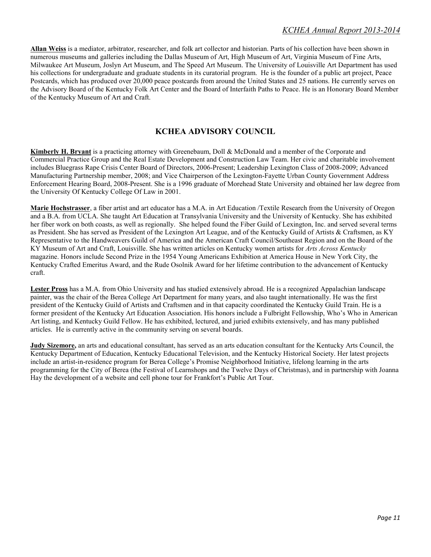**Allan Weiss** is a mediator, arbitrator, researcher, and folk art collector and historian. Parts of his collection have been shown in numerous museums and galleries including the Dallas Museum of Art, High Museum of Art, Virginia Museum of Fine Arts, Milwaukee Art Museum, Joslyn Art Museum, and The Speed Art Museum. The University of Louisville Art Department has used his collections for undergraduate and graduate students in its curatorial program. He is the founder of a public art project, Peace Postcards, which has produced over 20,000 peace postcards from around the United States and 25 nations. He currently serves on the Advisory Board of the Kentucky Folk Art Center and the Board of Interfaith Paths to Peace. He is an Honorary Board Member of the Kentucky Museum of Art and Craft.

#### **KCHEA ADVISORY COUNCIL**

**Kimberly H. Bryant** is a practicing attorney with Greenebaum, Doll & McDonald and a member of the Corporate and Commercial Practice Group and the Real Estate Development and Construction Law Team. Her civic and charitable involvement includes Bluegrass Rape Crisis Center Board of Directors, 2006-Present; Leadership Lexington Class of 2008-2009; Advanced Manufacturing Partnership member, 2008; and Vice Chairperson of the Lexington-Fayette Urban County Government Address Enforcement Hearing Board, 2008-Present. She is a 1996 graduate of Morehead State University and obtained her law degree from the University Of Kentucky College Of Law in 2001.

**Marie Hochstrasser**, a fiber artist and art educator has a M.A. in Art Education /Textile Research from the University of Oregon and a B.A. from UCLA. She taught Art Education at Transylvania University and the University of Kentucky. She has exhibited her fiber work on both coasts, as well as regionally. She helped found the Fiber Guild of Lexington, Inc. and served several terms as President. She has served as President of the Lexington Art League, and of the Kentucky Guild of Artists & Craftsmen, as KY Representative to the Handweavers Guild of America and the American Craft Council/Southeast Region and on the Board of the KY Museum of Art and Craft, Louisville. She has written articles on Kentucky women artists for *Arts Across Kentucky* magazine. Honors include Second Prize in the 1954 Young Americans Exhibition at America House in New York City, the Kentucky Crafted Emeritus Award, and the Rude Osolnik Award for her lifetime contribution to the advancement of Kentucky craft.

**Lester Pross** has a M.A. from Ohio University and has studied extensively abroad. He is a recognized Appalachian landscape painter, was the chair of the Berea College Art Department for many years, and also taught internationally. He was the first president of the Kentucky Guild of Artists and Craftsmen and in that capacity coordinated the Kentucky Guild Train. He is a former president of the Kentucky Art Education Association. His honors include a Fulbright Fellowship, Who's Who in American Art listing, and Kentucky Guild Fellow. He has exhibited, lectured, and juried exhibits extensively, and has many published articles. He is currently active in the community serving on several boards.

**Judy Sizemore,** an arts and educational consultant, has served as an arts education consultant for the Kentucky Arts Council, the Kentucky Department of Education, Kentucky Educational Television, and the Kentucky Historical Society. Her latest projects include an artist-in-residence program for Berea College's Promise Neighborhood Initiative, lifelong learning in the arts programming for the City of Berea (the Festival of Learnshops and the Twelve Days of Christmas), and in partnership with Joanna Hay the development of a website and cell phone tour for Frankfort's Public Art Tour.